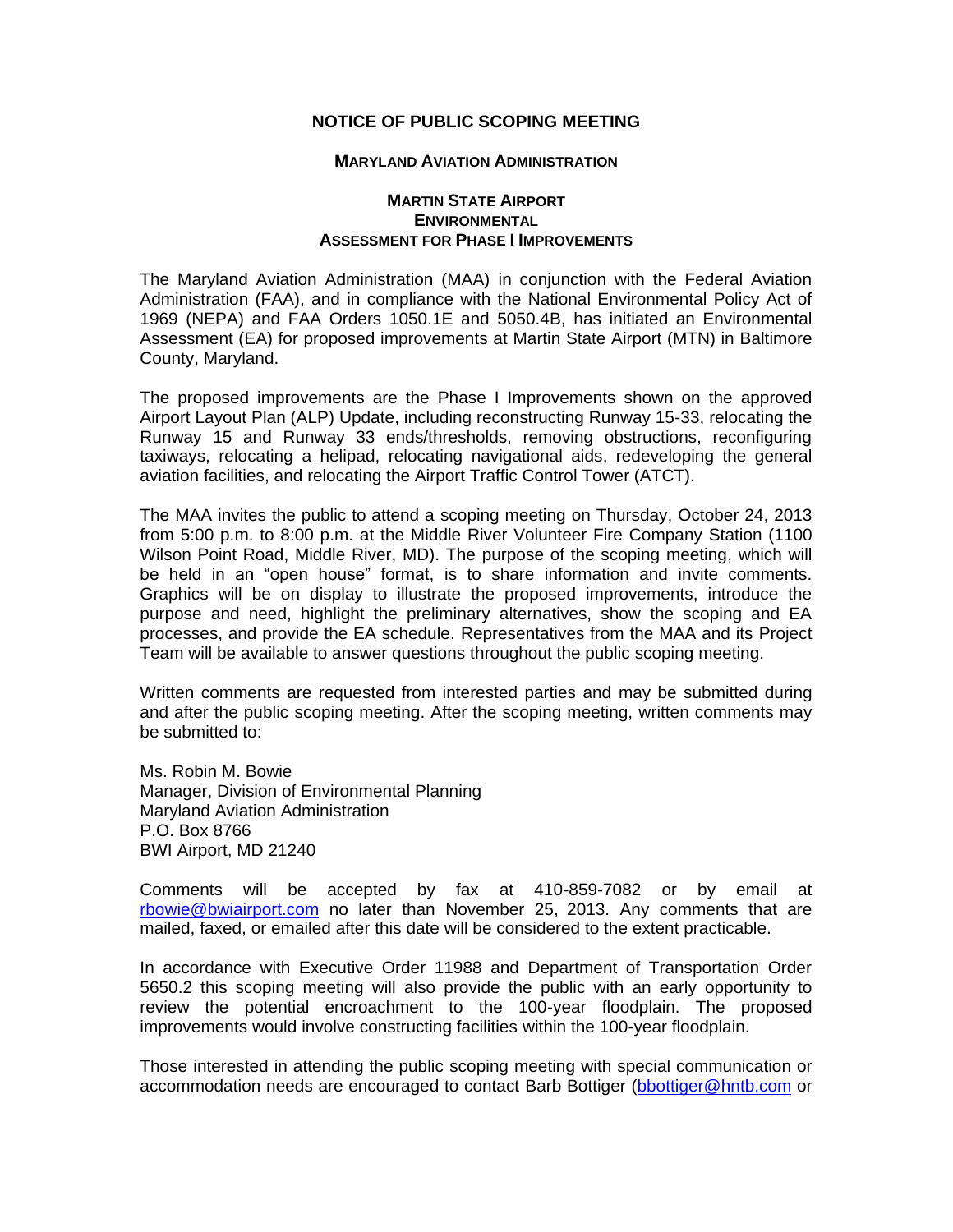## **NOTICE OF PUBLIC SCOPING MEETING**

## **MARYLAND AVIATION ADMINISTRATION**

## **MARTIN STATE AIRPORT ENVIRONMENTAL ASSESSMENT FOR PHASE I IMPROVEMENTS**

The Maryland Aviation Administration (MAA) in conjunction with the Federal Aviation Administration (FAA), and in compliance with the National Environmental Policy Act of 1969 (NEPA) and FAA Orders 1050.1E and 5050.4B, has initiated an Environmental Assessment (EA) for proposed improvements at Martin State Airport (MTN) in Baltimore County, Maryland.

The proposed improvements are the Phase I Improvements shown on the approved Airport Layout Plan (ALP) Update, including reconstructing Runway 15-33, relocating the Runway 15 and Runway 33 ends/thresholds, removing obstructions, reconfiguring taxiways, relocating a helipad, relocating navigational aids, redeveloping the general aviation facilities, and relocating the Airport Traffic Control Tower (ATCT).

The MAA invites the public to attend a scoping meeting on Thursday, October 24, 2013 from 5:00 p.m. to 8:00 p.m. at the Middle River Volunteer Fire Company Station (1100 Wilson Point Road, Middle River, MD). The purpose of the scoping meeting, which will be held in an "open house" format, is to share information and invite comments. Graphics will be on display to illustrate the proposed improvements, introduce the purpose and need, highlight the preliminary alternatives, show the scoping and EA processes, and provide the EA schedule. Representatives from the MAA and its Project Team will be available to answer questions throughout the public scoping meeting.

Written comments are requested from interested parties and may be submitted during and after the public scoping meeting. After the scoping meeting, written comments may be submitted to:

Ms. Robin M. Bowie Manager, Division of Environmental Planning Maryland Aviation Administration P.O. Box 8766 BWI Airport, MD 21240

Comments will be accepted by fax at 410-859-7082 or by email at [rbowie@bwiairport.com](mailto:rbowie@bwiairport.com) no later than November 25, 2013. Any comments that are mailed, faxed, or emailed after this date will be considered to the extent practicable.

In accordance with Executive Order 11988 and Department of Transportation Order 5650.2 this scoping meeting will also provide the public with an early opportunity to review the potential encroachment to the 100-year floodplain. The proposed improvements would involve constructing facilities within the 100-year floodplain.

Those interested in attending the public scoping meeting with special communication or accommodation needs are encouraged to contact Barb Bottiger [\(bbottiger@hntb.com](mailto:bbottiger@hntb.com) or